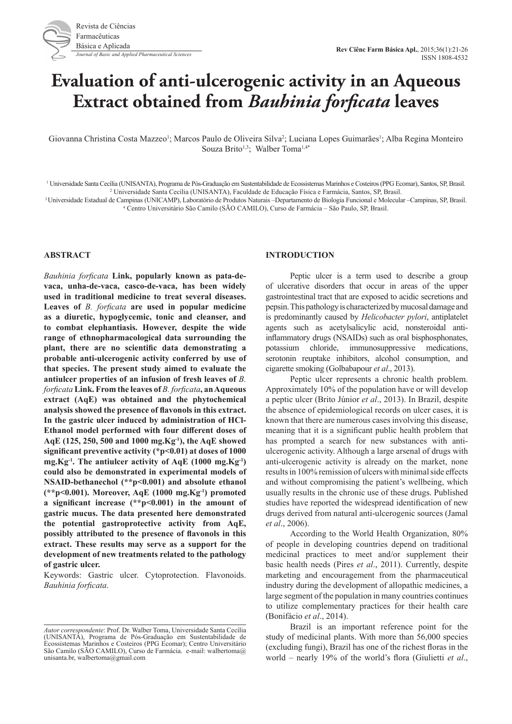# **Evaluation of anti-ulcerogenic activity in an Aqueous Extract obtained from** *Bauhinia forficata* **leaves**

Giovanna Christina Costa Mazzeo<sup>1</sup>; Marcos Paulo de Oliveira Silva<sup>2</sup>; Luciana Lopes Guimarães<sup>1</sup>; Alba Regina Monteiro Souza Brito<sup>1,3</sup>; Walber Toma<sup>1,4\*</sup>

1 Universidade Santa Cecília (UNISANTA), Programa de Pós-Graduação em Sustentabilidade de Ecossistemas Marinhos e Costeiros (PPG Ecomar), Santos, SP, Brasil. 2 Universidade Santa Cecília (UNISANTA), Faculdade de Educação Física e Farmácia, Santos, SP, Brasil.

3 Universidade Estadual de Campinas (UNICAMP), Laboratório de Produtos Naturais –Departamento de Biologia Funcional e Molecular –Campinas, SP, Brasil. 4 Centro Universitário São Camilo (SÃO CAMILO), Curso de Farmácia – São Paulo, SP, Brasil.

## **ABSTRACT**

*Bauhinia forficata* **Link, popularly known as pata-devaca, unha-de-vaca, casco-de-vaca, has been widely used in traditional medicine to treat several diseases. Leaves of** *B. forficata* **are used in popular medicine as a diuretic, hypoglycemic, tonic and cleanser, and to combat elephantiasis. However, despite the wide range of ethnopharmacological data surrounding the plant, there are no scientific data demonstrating a probable anti-ulcerogenic activity conferred by use of that species. The present study aimed to evaluate the antiulcer properties of an infusion of fresh leaves of** *B. forficata* **Link. From the leaves of** *B. forficata***, an Aqueous extract (AqE) was obtained and the phytochemical analysis showed the presence of flavonols in this extract. In the gastric ulcer induced by administration of HCl-Ethanol model performed with four different doses of AqE (125, 250, 500 and 1000 mg.Kg-1), the AqE showed significant preventive activity (\*p<0.01) at doses of 1000 mg.Kg-1. The antiulcer activity of AqE (1000 mg.Kg-1) could also be demonstrated in experimental models of NSAID-bethanechol (\*\*p<0.001) and absolute ethanol (\*\*p<0.001). Moreover, AqE (1000 mg.Kg-1) promoted a significant increase (\*\*p<0.001) in the amount of gastric mucus. The data presented here demonstrated the potential gastroprotective activity from AqE, possibly attributed to the presence of flavonols in this extract. These results may serve as a support for the development of new treatments related to the pathology of gastric ulcer.**

Keywords: Gastric ulcer. Cytoprotection. Flavonoids. *Bauhinia forficata*.

## **INTRODUCTION**

Peptic ulcer is a term used to describe a group of ulcerative disorders that occur in areas of the upper gastrointestinal tract that are exposed to acidic secretions and pepsin. This pathology is characterized by mucosal damage and is predominantly caused by *Helicobacter pylori*, antiplatelet agents such as acetylsalicylic acid, nonsteroidal antiinflammatory drugs (NSAIDs) such as oral bisphosphonates, potassium chloride, immunosuppressive medications, serotonin reuptake inhibitors, alcohol consumption, and cigarette smoking (Golbabapour *et al*., 2013).

Peptic ulcer represents a chronic health problem. Approximately 10% of the population have or will develop a peptic ulcer (Brito Júnior *et al*., 2013). In Brazil, despite the absence of epidemiological records on ulcer cases, it is known that there are numerous cases involving this disease, meaning that it is a significant public health problem that has prompted a search for new substances with antiulcerogenic activity. Although a large arsenal of drugs with anti-ulcerogenic activity is already on the market, none results in 100% remission of ulcers with minimal side effects and without compromising the patient's wellbeing, which usually results in the chronic use of these drugs. Published studies have reported the widespread identification of new drugs derived from natural anti-ulcerogenic sources (Jamal *et al*., 2006).

According to the World Health Organization, 80% of people in developing countries depend on traditional medicinal practices to meet and/or supplement their basic health needs (Pires *et al*., 2011). Currently, despite marketing and encouragement from the pharmaceutical industry during the development of allopathic medicines, a large segment of the population in many countries continues to utilize complementary practices for their health care (Bonifácio *et al*., 2014).

Brazil is an important reference point for the study of medicinal plants. With more than 56,000 species (excluding fungi), Brazil has one of the richest floras in the world – nearly 19% of the world's flora (Giulietti *et al*.,

*Autor correspondente*: Prof. Dr. Walber Toma, Universidade Santa Cecília (UNISANTA), Programa de Pós-Graduação em Sustentabilidade de Ecossistemas Marinhos e Costeiros (PPG Ecomar); Centro Universitário São Camilo (SÃO CAMILO), Curso de Farmácia. e-mail: walbertoma@ unisanta.br, walbertoma@gmail.com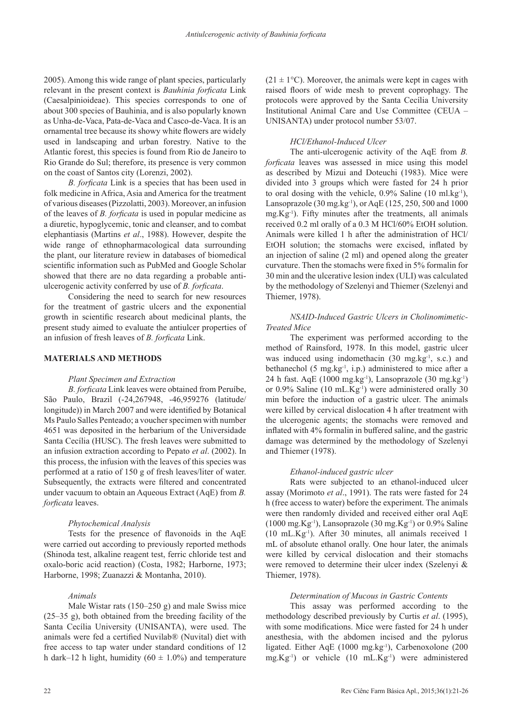2005). Among this wide range of plant species, particularly relevant in the present context is *Bauhinia forficata* Link (Caesalpinioideae). This species corresponds to one of about 300 species of Bauhinia, and is also popularly known as Unha-de-Vaca, Pata-de-Vaca and Casco-de-Vaca. It is an ornamental tree because its showy white flowers are widely used in landscaping and urban forestry. Native to the Atlantic forest, this species is found from Rio de Janeiro to Rio Grande do Sul; therefore, its presence is very common on the coast of Santos city (Lorenzi, 2002).

*B. forficata* Link is a species that has been used in folk medicine in Africa, Asia and America for the treatment of various diseases (Pizzolatti, 2003). Moreover, an infusion of the leaves of *B. forficata* is used in popular medicine as a diuretic, hypoglycemic, tonic and cleanser, and to combat elephantiasis (Martins *et al*., 1988). However, despite the wide range of ethnopharmacological data surrounding the plant, our literature review in databases of biomedical scientific information such as PubMed and Google Scholar showed that there are no data regarding a probable antiulcerogenic activity conferred by use of *B. forficata*.

Considering the need to search for new resources for the treatment of gastric ulcers and the exponential growth in scientific research about medicinal plants, the present study aimed to evaluate the antiulcer properties of an infusion of fresh leaves of *B. forficata* Link.

# **MATERIALS AND METHODS**

## *Plant Specimen and Extraction*

*B. forficata* Link leaves were obtained from Peruíbe, São Paulo, Brazil (-24,267948, -46,959276 (latitude/ longitude)) in March 2007 and were identified by Botanical Ms Paulo Salles Penteado; a voucher specimen with number 4651 was deposited in the herbarium of the Universidade Santa Cecília (HUSC). The fresh leaves were submitted to an infusion extraction according to Pepato *et al*. (2002). In this process, the infusion with the leaves of this species was performed at a ratio of 150 g of fresh leaves/liter of water. Subsequently, the extracts were filtered and concentrated under vacuum to obtain an Aqueous Extract (AqE) from *B. forficata* leaves.

#### *Phytochemical Analysis*

Tests for the presence of flavonoids in the AqE were carried out according to previously reported methods (Shinoda test, alkaline reagent test, ferric chloride test and oxalo-boric acid reaction) (Costa, 1982; Harborne, 1973; Harborne, 1998; Zuanazzi & Montanha, 2010).

## *Animals*

Male Wistar rats (150–250 g) and male Swiss mice (25–35 g), both obtained from the breeding facility of the Santa Cecília University (UNISANTA), were used. The animals were fed a certified Nuvilab® (Nuvital) diet with free access to tap water under standard conditions of 12 h dark–12 h light, humidity (60  $\pm$  1.0%) and temperature  $(21 \pm 1^{\circ}$ C). Moreover, the animals were kept in cages with raised floors of wide mesh to prevent coprophagy. The protocols were approved by the Santa Cecília University Institutional Animal Care and Use Committee (CEUA – UNISANTA) under protocol number 53/07.

### *HCl/Ethanol-Induced Ulcer*

The anti-ulcerogenic activity of the AqE from *B. forficata* leaves was assessed in mice using this model as described by Mizui and Doteuchi (1983). Mice were divided into 3 groups which were fasted for 24 h prior to oral dosing with the vehicle, 0.9% Saline (10 ml.kg-1), Lansoprazole  $(30 \text{ mg} \cdot \text{kg}^{-1})$ , or AqE  $(125, 250, 500 \text{ and } 1000$  $mg.Kg^{-1}$ ). Fifty minutes after the treatments, all animals received 0.2 ml orally of a 0.3 M HCl/60% EtOH solution. Animals were killed 1 h after the administration of HCl/ EtOH solution; the stomachs were excised, inflated by an injection of saline (2 ml) and opened along the greater curvature. Then the stomachs were fixed in 5% formalin for 30 min and the ulcerative lesion index (ULI) was calculated by the methodology of Szelenyi and Thiemer (Szelenyi and Thiemer, 1978).

# *NSAID-Induced Gastric Ulcers in Cholinomimetic-Treated Mice*

The experiment was performed according to the method of Rainsford, 1978. In this model, gastric ulcer was induced using indomethacin (30 mg.kg<sup>-1</sup>, s.c.) and bethanechol  $(5 \text{ mg} \cdot \text{kg}^{-1}, i.p.)$  administered to mice after a 24 h fast. AqE (1000 mg.kg<sup>-1</sup>), Lansoprazole (30 mg.kg<sup>-1</sup>) or 0.9% Saline (10 mL.Kg-1) were administered orally 30 min before the induction of a gastric ulcer. The animals were killed by cervical dislocation 4 h after treatment with the ulcerogenic agents; the stomachs were removed and inflated with 4% formalin in buffered saline, and the gastric damage was determined by the methodology of Szelenyi and Thiemer (1978).

#### *Ethanol-induced gastric ulcer*

Rats were subjected to an ethanol-induced ulcer assay (Morimoto *et al*., 1991). The rats were fasted for 24 h (free access to water) before the experiment. The animals were then randomly divided and received either oral AqE  $(1000 \text{ mg.Kg}^{-1})$ , Lansoprazole  $(30 \text{ mg.Kg}^{-1})$  or  $0.9\%$  Saline  $(10 \text{ mL.Kg}^{-1})$ . After 30 minutes, all animals received 1 mL of absolute ethanol orally. One hour later, the animals were killed by cervical dislocation and their stomachs were removed to determine their ulcer index (Szelenyi & Thiemer, 1978).

#### *Determination of Mucous in Gastric Contents*

This assay was performed according to the methodology described previously by Curtis *et al*. (1995), with some modifications. Mice were fasted for 24 h under anesthesia, with the abdomen incised and the pylorus ligated. Either AqE  $(1000 \text{ mg} \cdot \text{kg}^{-1})$ , Carbenoxolone  $(200 \text{ mg} \cdot \text{kg}^{-1})$  $mg.Kg^{-1}$ ) or vehicle  $(10 mL.Kg^{-1})$  were administered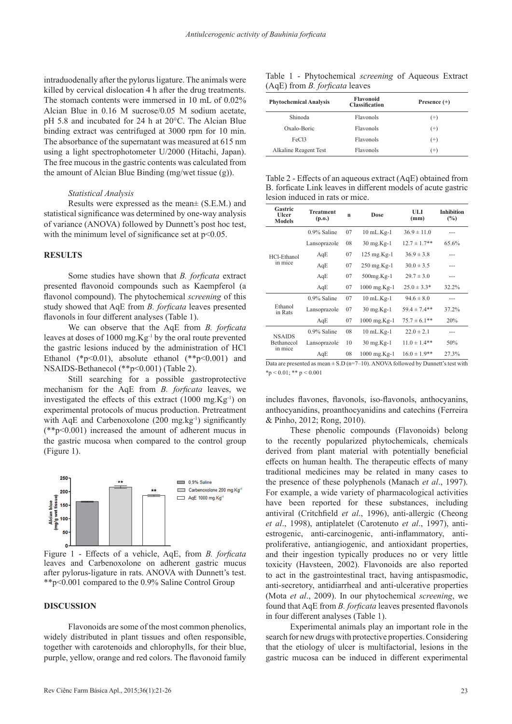intraduodenally after the pylorus ligature. The animals were killed by cervical dislocation 4 h after the drug treatments. The stomach contents were immersed in 10 mL of 0.02% Alcian Blue in 0.16 M sucrose/0.05 M sodium acetate, pH 5.8 and incubated for 24 h at 20°C. The Alcian Blue binding extract was centrifuged at 3000 rpm for 10 min. The absorbance of the supernatant was measured at 615 nm using a light spectrophotometer U/2000 (Hitachi, Japan). The free mucous in the gastric contents was calculated from the amount of Alcian Blue Binding (mg/wet tissue (g)).

#### *Statistical Analysis*

Results were expressed as the mean± (S.E.M.) and statistical significance was determined by one-way analysis of variance (ANOVA) followed by Dunnett's post hoc test, with the minimum level of significance set at  $p<0.05$ .

## **RESULTS**

Some studies have shown that *B. forficata* extract presented flavonoid compounds such as Kaempferol (a flavonol compound). The phytochemical *screening* of this study showed that AqE from *B. forficata* leaves presented flavonols in four different analyses (Table 1).

We can observe that the AqE from *B. forficata* leaves at doses of 1000 mg.Kg-1 by the oral route prevented the gastric lesions induced by the administration of HCl Ethanol (\* $p<0.01$ ), absolute ethanol (\*\* $p<0.001$ ) and NSAIDS-Bethanecol (\*\*p<0.001) (Table 2).

Still searching for a possible gastroprotective mechanism for the AqE from *B. forficata* leaves, we investigated the effects of this extract (1000 mg.Kg-1) on experimental protocols of mucus production. Pretreatment with AqE and Carbenoxolone  $(200 \text{ mg} \cdot \text{kg}^{-1})$  significantly (\*\*p<0.001) increased the amount of adherent mucus in the gastric mucosa when compared to the control group (Figure 1).



Figure 1 - Effects of a vehicle, AqE, from *B. forficata* leaves and Carbenoxolone on adherent gastric mucus after pylorus-ligature in rats. ANOVA with Dunnett's test. \*\*p<0.001 compared to the 0.9% Saline Control Group

# **DISCUSSION**

Flavonoids are some of the most common phenolics, widely distributed in plant tissues and often responsible, together with carotenoids and chlorophylls, for their blue, purple, yellow, orange and red colors. The flavonoid family

Table 1 - Phytochemical *screening* of Aqueous Extract (AqE) from *B. forficata* leaves

| <b>Phytochemical Analysis</b> | <b>Flavonoid</b><br><b>Classification</b> | Presence $(+)$ |  |
|-------------------------------|-------------------------------------------|----------------|--|
| Shinoda                       | Flavonols                                 | $^{(+)}$       |  |
| Oxalo-Boric                   | <b>Flavonols</b>                          | $^{(+)}$       |  |
| FeC <sub>13</sub>             | Flavonols                                 | $^{(+)}$       |  |
| Alkaline Reagent Test         | Flavonols                                 | $^{(+)}$       |  |

Table 2 - Effects of an aqueous extract (AqE) obtained from B. forficate Link leaves in different models of acute gastric lesion induced in rats or mice.

| Gastric<br><b>Ulcer</b><br><b>Models</b> | <b>Treatment</b><br>(p.o.) | n  | Dose              | ULI<br>(mm)       | <b>Inhibition</b><br>$(\%)$ |
|------------------------------------------|----------------------------|----|-------------------|-------------------|-----------------------------|
| HCl-Ethanol<br>in mice                   | $0.9\%$ Saline             | 07 | $10$ mL. $Kg-1$   | $36.9 \pm 11.0$   |                             |
|                                          | Lansoprazole               | 08 | $30$ mg. $Kg-1$   | $12.7 \pm 1.7**$  | 65.6%                       |
|                                          | AqE                        | 07 | $125$ mg.Kg-1     | $36.9 \pm 3.8$    |                             |
|                                          | AqE                        | 07 | $250$ mg. $Kg-1$  | $30.0 \pm 3.5$    | ---                         |
|                                          | AqE                        | 07 | 500mg.Kg-1        | $29.7 \pm 3.0$    |                             |
|                                          | AqE                        | 07 | $1000$ mg.Kg-1    | $25.0 \pm 3.3*$   | 32.2%                       |
| Ethanol<br>in Rats                       | $0.9\%$ Saline             | 07 | $10$ mL. $Kg-1$   | $94.6 \pm 8.0$    | ---                         |
|                                          | Lansoprazole               | 07 | $30$ mg.Kg-1      | $59.4 \pm 7.4$ ** | 37.2%                       |
|                                          | AqE                        | 07 | $1000$ mg.Kg-1    | $75.7 \pm 6.1***$ | 20%                         |
| <b>NSAIDS</b><br>Bethanecol<br>in mice   | $0.9\%$ Saline             | 08 | $10$ mL. $Kg-1$   | $22.0 \pm 2.1$    | ---                         |
|                                          | Lansoprazole               | 10 | $30$ mg. $Kg-1$   | $11.0 \pm 1.4**$  | 50%                         |
|                                          | AqE                        | 08 | $1000$ mg. $Kg-1$ | $16.0 \pm 1.9$ ** | 27.3%                       |

Data are presented as mean  $\pm$  S.D (n=7–10). ANOVA followed by Dunnett's test with  $*_{p}$  < 0.01; \*\* p < 0.001

includes flavones, flavonols, iso-flavonols, anthocyanins, anthocyanidins, proanthocyanidins and catechins (Ferreira & Pinho, 2012; Rong, 2010).

These phenolic compounds (Flavonoids) belong to the recently popularized phytochemicals, chemicals derived from plant material with potentially beneficial effects on human health. The therapeutic effects of many traditional medicines may be related in many cases to the presence of these polyphenols (Manach *et al*., 1997). For example, a wide variety of pharmacological activities have been reported for these substances, including antiviral (Critchfield *et al*., 1996), anti-allergic (Cheong *et al*., 1998), antiplatelet (Carotenuto *et al*., 1997), antiestrogenic, anti-carcinogenic, anti-inflammatory, antiproliferative, antiangiogenic, and antioxidant properties, and their ingestion typically produces no or very little toxicity (Havsteen, 2002). Flavonoids are also reported to act in the gastrointestinal tract, having antispasmodic, anti-secretory, antidiarrheal and anti-ulcerative properties (Mota *et al*., 2009). In our phytochemical *screening*, we found that AqE from *B. forficata* leaves presented flavonols in four different analyses (Table 1).

Experimental animals play an important role in the search for new drugs with protective properties. Considering that the etiology of ulcer is multifactorial, lesions in the gastric mucosa can be induced in different experimental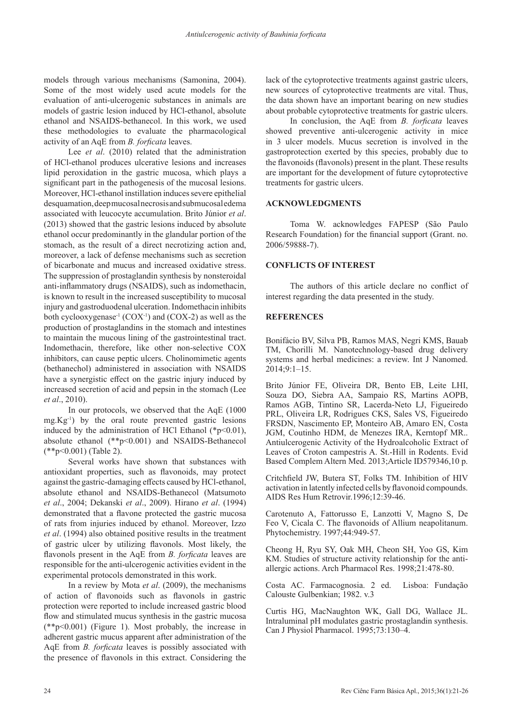models through various mechanisms (Samonina, 2004). Some of the most widely used acute models for the evaluation of anti-ulcerogenic substances in animals are models of gastric lesion induced by HCl-ethanol, absolute ethanol and NSAIDS-bethanecol. In this work, we used these methodologies to evaluate the pharmacological activity of an AqE from *B. forficata* leaves.

Lee *et al*. (2010) related that the administration of HCl-ethanol produces ulcerative lesions and increases lipid peroxidation in the gastric mucosa, which plays a significant part in the pathogenesis of the mucosal lesions. Moreover, HCl-ethanol instillation induces severe epithelial desquamation, deep mucosal necrosis and submucosal edema associated with leucocyte accumulation. Brito Júnior *et al*. (2013) showed that the gastric lesions induced by absolute ethanol occur predominantly in the glandular portion of the stomach, as the result of a direct necrotizing action and, moreover, a lack of defense mechanisms such as secretion of bicarbonate and mucus and increased oxidative stress. The suppression of prostaglandin synthesis by nonsteroidal anti-inflammatory drugs (NSAIDS), such as indomethacin, is known to result in the increased susceptibility to mucosal injury and gastroduodenal ulceration. Indomethacin inhibits both cyclooxygenase<sup>-1</sup> (COX<sup>-1</sup>) and (COX-2) as well as the production of prostaglandins in the stomach and intestines to maintain the mucous lining of the gastrointestinal tract. Indomethacin, therefore, like other non-selective COX inhibitors, can cause peptic ulcers. Cholinomimetic agents (bethanechol) administered in association with NSAIDS have a synergistic effect on the gastric injury induced by increased secretion of acid and pepsin in the stomach (Lee *et al*., 2010).

In our protocols, we observed that the AqE (1000  $mg.Kg^{-1}$ ) by the oral route prevented gastric lesions induced by the administration of HCl Ethanol ( $p<0.01$ ), absolute ethanol (\*\*p<0.001) and NSAIDS-Bethanecol (\*\*p<0.001) (Table 2).

Several works have shown that substances with antioxidant properties, such as flavonoids, may protect against the gastric-damaging effects caused by HCl-ethanol, absolute ethanol and NSAIDS-Bethanecol (Matsumoto *et al*., 2004; Dekanski *et al*., 2009). Hirano *et al*. (1994) demonstrated that a flavone protected the gastric mucosa of rats from injuries induced by ethanol. Moreover, Izzo *et al*. (1994) also obtained positive results in the treatment of gastric ulcer by utilizing flavonols. Most likely, the flavonols present in the AqE from *B. forficata* leaves are responsible for the anti-ulcerogenic activities evident in the experimental protocols demonstrated in this work.

In a review by Mota *et al*. (2009), the mechanisms of action of flavonoids such as flavonols in gastric protection were reported to include increased gastric blood flow and stimulated mucus synthesis in the gastric mucosa  $(*p<0.001)$  (Figure 1). Most probably, the increase in adherent gastric mucus apparent after administration of the AqE from *B. forficata* leaves is possibly associated with the presence of flavonols in this extract. Considering the

lack of the cytoprotective treatments against gastric ulcers, new sources of cytoprotective treatments are vital. Thus, the data shown have an important bearing on new studies about probable cytoprotective treatments for gastric ulcers.

In conclusion, the AqE from *B. forficata* leaves showed preventive anti-ulcerogenic activity in mice in 3 ulcer models. Mucus secretion is involved in the gastroprotection exerted by this species, probably due to the flavonoids (flavonols) present in the plant. These results are important for the development of future cytoprotective treatments for gastric ulcers.

# **ACKNOWLEDGMENTS**

Toma W. acknowledges FAPESP (São Paulo Research Foundation) for the financial support (Grant. no. 2006/59888-7).

# **CONFLICTS OF INTEREST**

The authors of this article declare no conflict of interest regarding the data presented in the study.

# **REFERENCES**

Bonifácio BV, Silva PB, Ramos MAS, Negri KMS, Bauab TM, Chorilli M. Nanotechnology-based drug delivery systems and herbal medicines: a review. Int J Nanomed. 2014;9:1–15.

Brito Júnior FE, Oliveira DR, Bento EB, Leite LHI, Souza DO, Siebra AA, Sampaio RS, Martins AOPB, Ramos AGB, Tintino SR, Lacerda-Neto LJ, Figueiredo PRL, Oliveira LR, Rodrigues CKS, Sales VS, Figueiredo FRSDN, Nascimento EP, Monteiro AB, Amaro EN, Costa JGM, Coutinho HDM, de Menezes IRA, Kerntopf MR.. Antiulcerogenic Activity of the Hydroalcoholic Extract of Leaves of Croton campestris A. St.-Hill in Rodents. Evid Based Complem Altern Med. 2013;Article ID579346,10 p.

Critchfield JW, Butera ST, Folks TM. Inhibition of HIV activation in latently infected cells by flavonoid compounds. AIDS Res Hum Retrovir.1996;12:39-46.

Carotenuto A, Fattorusso E, Lanzotti V, Magno S, De Feo V, Cicala C. The flavonoids of Allium neapolitanum. Phytochemistry. 1997;44:949-57.

Cheong H, Ryu SY, Oak MH, Cheon SH, Yoo GS, Kim KM. Studies of structure activity relationship for the antiallergic actions. Arch Pharmacol Res. 1998;21:478-80.

Costa AC. Farmacognosia. 2 ed. Lisboa: Fundação Calouste Gulbenkian; 1982. v.3

Curtis HG, MacNaughton WK, Gall DG, Wallace JL. Intraluminal pH modulates gastric prostaglandin synthesis. Can J Physiol Pharmacol. 1995;73:130–4.